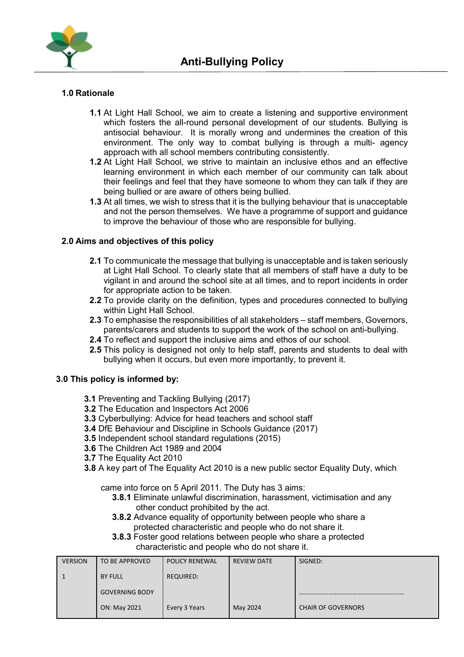

### **1.0 Rationale**

- **1.1** At Light Hall School, we aim to create a listening and supportive environment which fosters the all-round personal development of our students. Bullying is antisocial behaviour. It is morally wrong and undermines the creation of this environment. The only way to combat bullying is through a multi- agency approach with all school members contributing consistently.
- **1.2** At Light Hall School, we strive to maintain an inclusive ethos and an effective learning environment in which each member of our community can talk about their feelings and feel that they have someone to whom they can talk if they are being bullied or are aware of others being bullied.
- **1.3** At all times, we wish to stress that it is the bullying behaviour that is unacceptable and not the person themselves. We have a programme of support and guidance to improve the behaviour of those who are responsible for bullying.

#### **2.0 Aims and objectives of this policy**

- **2.1** To communicate the message that bullying is unacceptable and is taken seriously at Light Hall School. To clearly state that all members of staff have a duty to be vigilant in and around the school site at all times, and to report incidents in order for appropriate action to be taken.
- **2.2** To provide clarity on the definition, types and procedures connected to bullying within Light Hall School.
- **2.3** To emphasise the responsibilities of all stakeholders staff members, Governors, parents/carers and students to support the work of the school on anti-bullying.
- **2.4** To reflect and support the inclusive aims and ethos of our school.
- **2.5** This policy is designed not only to help staff, parents and students to deal with bullying when it occurs, but even more importantly, to prevent it.

#### **3.0 This policy is informed by:**

- **3.1** Preventing and Tackling Bullying (2017)
- **3.2** The Education and Inspectors Act 2006
- **3.3** Cyberbullying: Advice for head teachers and school staff
- **3.4** DfE Behaviour and Discipline in Schools Guidance (2017)
- **3.5** Independent school standard regulations (2015)
- **3.6** The Children Act 1989 and 2004
- **3.7** The Equality Act 2010
- **3.8** A key part of The Equality Act 2010 is a new public sector Equality Duty, which

came into force on 5 April 2011. The Duty has 3 aims:

- **3.8.1** Eliminate unlawful discrimination, harassment, victimisation and any other conduct prohibited by the act.
- **3.8.2** Advance equality of opportunity between people who share a protected characteristic and people who do not share it.
- **3.8.3** Foster good relations between people who share a protected characteristic and people who do not share it.

| <b>VERSION</b> | TO BE APPROVED        | <b>POLICY RENEWAL</b> | REVIEW DATE | SIGNED:                   |
|----------------|-----------------------|-----------------------|-------------|---------------------------|
|                | <b>BY FULL</b>        | <b>REQUIRED:</b>      |             |                           |
|                | <b>GOVERNING BODY</b> |                       |             |                           |
|                | ON: May 2021          | Every 3 Years         | May 2024    | <b>CHAIR OF GOVERNORS</b> |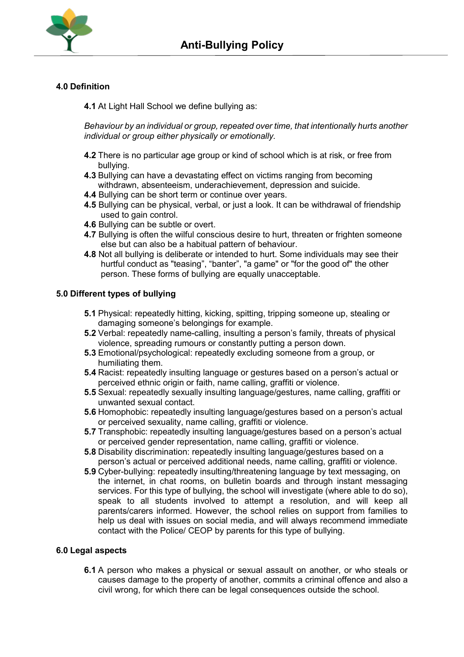

# **4.0 Definition**

**4.1** At Light Hall School we define bullying as:

*Behaviour by an individual or group, repeated over time, that intentionally hurts another individual or group either physically or emotionally.*

- **4.2** There is no particular age group or kind of school which is at risk, or free from bullying.
- **4.3** Bullying can have a devastating effect on victims ranging from becoming withdrawn, absenteeism, underachievement, depression and suicide.
- **4.4** Bullying can be short term or continue over years.
- **4.5** Bullying can be physical, verbal, or just a look. It can be withdrawal of friendship used to gain control.
- **4.6** Bullying can be subtle or overt.
- **4.7** Bullying is often the wilful conscious desire to hurt, threaten or frighten someone else but can also be a habitual pattern of behaviour.
- **4.8** Not all bullying is deliberate or intended to hurt. Some individuals may see their hurtful conduct as "teasing", "banter", "a game" or "for the good of" the other person. These forms of bullying are equally unacceptable.

### **5.0 Different types of bullying**

- **5.1** Physical: repeatedly hitting, kicking, spitting, tripping someone up, stealing or damaging someone's belongings for example.
- **5.2** Verbal: repeatedly name-calling, insulting a person's family, threats of physical violence, spreading rumours or constantly putting a person down.
- **5.3** Emotional/psychological: repeatedly excluding someone from a group, or humiliating them.
- **5.4** Racist: repeatedly insulting language or gestures based on a person's actual or perceived ethnic origin or faith, name calling, graffiti or violence.
- **5.5** Sexual: repeatedly sexually insulting language/gestures, name calling, graffiti or unwanted sexual contact.
- **5.6** Homophobic: repeatedly insulting language/gestures based on a person's actual or perceived sexuality, name calling, graffiti or violence.
- **5.7** Transphobic: repeatedly insulting language/gestures based on a person's actual or perceived gender representation, name calling, graffiti or violence.
- **5.8** Disability discrimination: repeatedly insulting language/gestures based on a person's actual or perceived additional needs, name calling, graffiti or violence.
- **5.9** Cyber-bullying: repeatedly insulting/threatening language by text messaging, on the internet, in chat rooms, on bulletin boards and through instant messaging services. For this type of bullying, the school will investigate (where able to do so), speak to all students involved to attempt a resolution, and will keep all parents/carers informed. However, the school relies on support from families to help us deal with issues on social media, and will always recommend immediate contact with the Police/ CEOP by parents for this type of bullying.

#### **6.0 Legal aspects**

**6.1** A person who makes a physical or sexual assault on another, or who steals or causes damage to the property of another, commits a criminal offence and also a civil wrong, for which there can be legal consequences outside the school.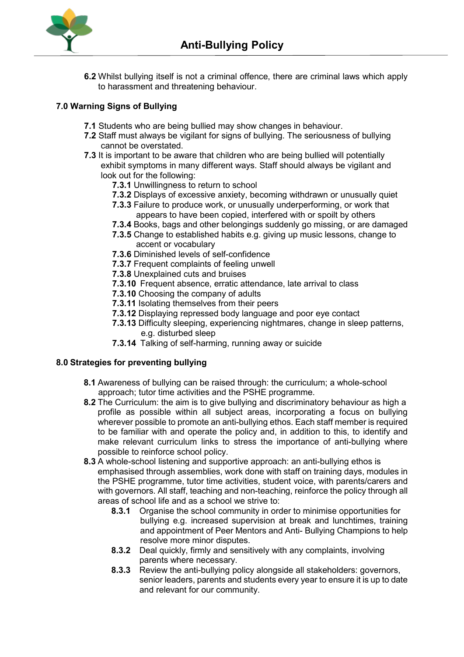

**6.2** Whilst bullying itself is not a criminal offence, there are criminal laws which apply to harassment and threatening behaviour.

# **7.0 Warning Signs of Bullying**

- **7.1** Students who are being bullied may show changes in behaviour.
- **7.2** Staff must always be vigilant for signs of bullying. The seriousness of bullying cannot be overstated.
- **7.3** It is important to be aware that children who are being bullied will potentially exhibit symptoms in many different ways. Staff should always be vigilant and look out for the following:
	- **7.3.1** Unwillingness to return to school
	- **7.3.2** Displays of excessive anxiety, becoming withdrawn or unusually quiet
	- **7.3.3** Failure to produce work, or unusually underperforming, or work that appears to have been copied, interfered with or spoilt by others
	- **7.3.4** Books, bags and other belongings suddenly go missing, or are damaged
	- **7.3.5** Change to established habits e.g. giving up music lessons, change to accent or vocabulary
	- **7.3.6** Diminished levels of self-confidence
	- **7.3.7** Frequent complaints of feeling unwell
	- **7.3.8** Unexplained cuts and bruises
	- **7.3.10** Frequent absence, erratic attendance, late arrival to class
	- **7.3.10** Choosing the company of adults
	- **7.3.11** Isolating themselves from their peers
	- **7.3.12** Displaying repressed body language and poor eye contact
	- **7.3.13** Difficulty sleeping, experiencing nightmares, change in sleep patterns, e.g. disturbed sleep
	- **7.3.14** Talking of self-harming, running away or suicide

## **8.0 Strategies for preventing bullying**

- **8.1** Awareness of bullying can be raised through: the curriculum; a whole-school approach; tutor time activities and the PSHE programme.
- **8.2** The Curriculum: the aim is to give bullying and discriminatory behaviour as high a profile as possible within all subject areas, incorporating a focus on bullying wherever possible to promote an anti-bullying ethos. Each staff member is required to be familiar with and operate the policy and, in addition to this, to identify and make relevant curriculum links to stress the importance of anti-bullying where possible to reinforce school policy.
- **8.3** A whole-school listening and supportive approach: an anti-bullying ethos is emphasised through assemblies, work done with staff on training days, modules in the PSHE programme, tutor time activities, student voice, with parents/carers and with governors. All staff, teaching and non-teaching, reinforce the policy through all areas of school life and as a school we strive to:
	- **8.3.1** Organise the school community in order to minimise opportunities for bullying e.g. increased supervision at break and lunchtimes, training and appointment of Peer Mentors and Anti- Bullying Champions to help resolve more minor disputes.
	- **8.3.2** Deal quickly, firmly and sensitively with any complaints, involving parents where necessary.
	- **8.3.3** Review the anti-bullying policy alongside all stakeholders: governors, senior leaders, parents and students every year to ensure it is up to date and relevant for our community.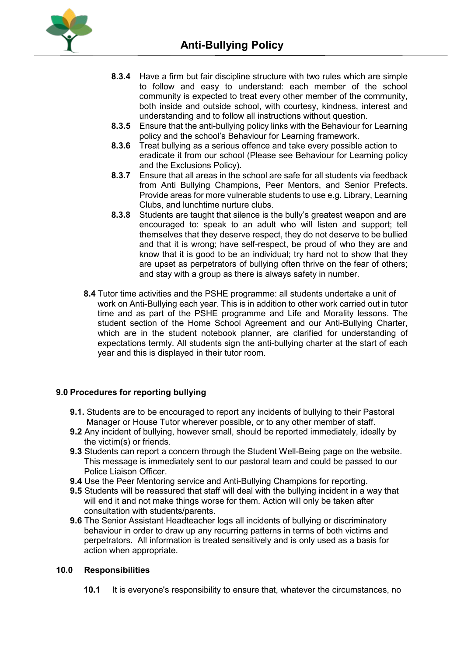

- **8.3.4** Have a firm but fair discipline structure with two rules which are simple to follow and easy to understand: each member of the school community is expected to treat every other member of the community, both inside and outside school, with courtesy, kindness, interest and understanding and to follow all instructions without question.
- **8.3.5** Ensure that the anti-bullying policy links with the Behaviour for Learning policy and the school's Behaviour for Learning framework.
- **8.3.6** Treat bullying as a serious offence and take every possible action to eradicate it from our school (Please see Behaviour for Learning policy and the Exclusions Policy).
- **8.3.7** Ensure that all areas in the school are safe for all students via feedback from Anti Bullying Champions, Peer Mentors, and Senior Prefects. Provide areas for more vulnerable students to use e.g. Library, Learning Clubs, and lunchtime nurture clubs.
- **8.3.8** Students are taught that silence is the bully's greatest weapon and are encouraged to: speak to an adult who will listen and support; tell themselves that they deserve respect, they do not deserve to be bullied and that it is wrong; have self-respect, be proud of who they are and know that it is good to be an individual; try hard not to show that they are upset as perpetrators of bullying often thrive on the fear of others; and stay with a group as there is always safety in number.
- **8.4** Tutor time activities and the PSHE programme: all students undertake a unit of work on Anti-Bullying each year. This is in addition to other work carried out in tutor time and as part of the PSHE programme and Life and Morality lessons. The student section of the Home School Agreement and our Anti-Bullying Charter, which are in the student notebook planner, are clarified for understanding of expectations termly. All students sign the anti-bullying charter at the start of each year and this is displayed in their tutor room.

## **9.0 Procedures for reporting bullying**

- **9.1.** Students are to be encouraged to report any incidents of bullying to their Pastoral Manager or House Tutor wherever possible, or to any other member of staff.
- **9.2** Any incident of bullying, however small, should be reported immediately, ideally by the victim(s) or friends.
- **9.3** Students can report a concern through the Student Well-Being page on the website. This message is immediately sent to our pastoral team and could be passed to our Police Liaison Officer.
- **9.4** Use the Peer Mentoring service and Anti-Bullying Champions for reporting.
- **9.5** Students will be reassured that staff will deal with the bullying incident in a way that will end it and not make things worse for them. Action will only be taken after consultation with students/parents.
- **9.6** The Senior Assistant Headteacher logs all incidents of bullying or discriminatory behaviour in order to draw up any recurring patterns in terms of both victims and perpetrators. All information is treated sensitively and is only used as a basis for action when appropriate.

## **10.0 Responsibilities**

**10.1** It is everyone's responsibility to ensure that, whatever the circumstances, no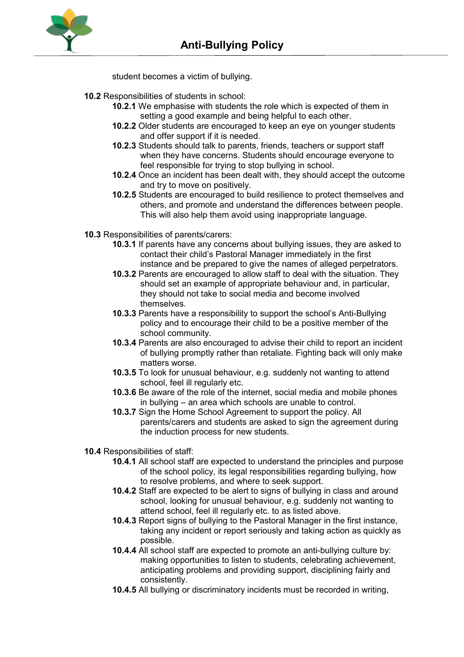

student becomes a victim of bullying.

# **10.2** Responsibilities of students in school:

- **10.2.1** We emphasise with students the role which is expected of them in setting a good example and being helpful to each other.
- **10.2.2** Older students are encouraged to keep an eye on younger students and offer support if it is needed.
- **10.2.3** Students should talk to parents, friends, teachers or support staff when they have concerns. Students should encourage everyone to feel responsible for trying to stop bullying in school.
- **10.2.4** Once an incident has been dealt with, they should accept the outcome and try to move on positively.
- **10.2.5** Students are encouraged to build resilience to protect themselves and others, and promote and understand the differences between people. This will also help them avoid using inappropriate language.
- **10.3** Responsibilities of parents/carers:
	- **10.3.1** If parents have any concerns about bullying issues, they are asked to contact their child's Pastoral Manager immediately in the first instance and be prepared to give the names of alleged perpetrators.
	- **10.3.2** Parents are encouraged to allow staff to deal with the situation. They should set an example of appropriate behaviour and, in particular, they should not take to social media and become involved themselves.
	- **10.3.3** Parents have a responsibility to support the school's Anti-Bullying policy and to encourage their child to be a positive member of the school community.
	- **10.3.4** Parents are also encouraged to advise their child to report an incident of bullying promptly rather than retaliate. Fighting back will only make matters worse.
	- **10.3.5** To look for unusual behaviour, e.g. suddenly not wanting to attend school, feel ill regularly etc.
	- **10.3.6** Be aware of the role of the internet, social media and mobile phones in bullying – an area which schools are unable to control.
	- **10.3.7** Sign the Home School Agreement to support the policy. All parents/carers and students are asked to sign the agreement during the induction process for new students.
- **10.4** Responsibilities of staff:
	- **10.4.1** All school staff are expected to understand the principles and purpose of the school policy, its legal responsibilities regarding bullying, how to resolve problems, and where to seek support.
	- **10.4.2** Staff are expected to be alert to signs of bullying in class and around school, looking for unusual behaviour, e.g. suddenly not wanting to attend school, feel ill regularly etc. to as listed above.
	- **10.4.3** Report signs of bullying to the Pastoral Manager in the first instance, taking any incident or report seriously and taking action as quickly as possible.
	- **10.4.4** All school staff are expected to promote an anti-bullying culture by: making opportunities to listen to students, celebrating achievement, anticipating problems and providing support, disciplining fairly and consistently.
	- **10.4.5** All bullying or discriminatory incidents must be recorded in writing,